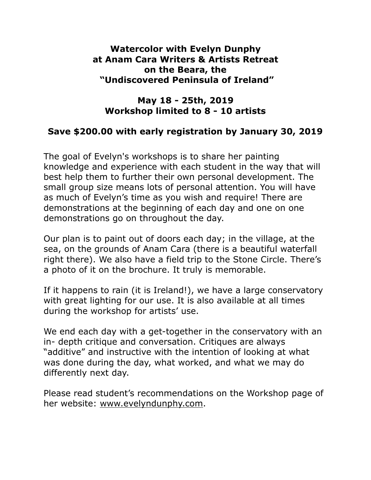### **Watercolor with Evelyn Dunphy at Anam Cara Writers & Artists Retreat on the Beara, the "Undiscovered Peninsula of Ireland"**

## **May 18 - 25th, 2019 Workshop limited to 8 - 10 artists**

## **Save \$200.00 with early registration by January 30, 2019**

The goal of Evelyn's workshops is to share her painting knowledge and experience with each student in the way that will best help them to further their own personal development. The small group size means lots of personal attention. You will have as much of Evelyn's time as you wish and require! There are demonstrations at the beginning of each day and one on one demonstrations go on throughout the day.

Our plan is to paint out of doors each day; in the village, at the sea, on the grounds of Anam Cara (there is a beautiful waterfall right there). We also have a field trip to the Stone Circle. There's a photo of it on the brochure. It truly is memorable.

If it happens to rain (it is Ireland!), we have a large conservatory with great lighting for our use. It is also available at all times during the workshop for artists' use.

We end each day with a get-together in the conservatory with an in- depth critique and conversation. Critiques are always "additive" and instructive with the intention of looking at what was done during the day, what worked, and what we may do differently next day.

Please read student's recommendations on the Workshop page of her website: [www.evelyndunphy.com](http://www.evelyndunphy.com).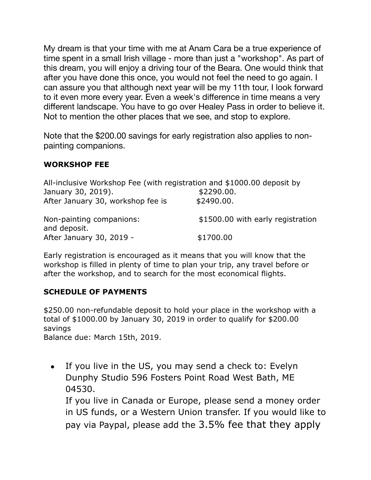My dream is that your time with me at Anam Cara be a true experience of time spent in a small Irish village - more than just a "workshop". As part of this dream, you will enjoy a driving tour of the Beara. One would think that after you have done this once, you would not feel the need to go again. I can assure you that although next year will be my 11th tour, I look forward to it even more every year. Even a week's difference in time means a very different landscape. You have to go over Healey Pass in order to believe it. Not to mention the other places that we see, and stop to explore.

Note that the \$200.00 savings for early registration also applies to nonpainting companions.

#### **WORKSHOP FEE**

| All-inclusive Workshop Fee (with registration and \$1000.00 deposit by |                                   |
|------------------------------------------------------------------------|-----------------------------------|
| January 30, 2019).                                                     | \$2290.00.                        |
| After January 30, workshop fee is                                      | \$2490.00.                        |
| Non-painting companions:<br>and deposit.                               | \$1500.00 with early registration |
| After January 30, 2019 -                                               | \$1700.00                         |

Early registration is encouraged as it means that you will know that the workshop is filled in plenty of time to plan your trip, any travel before or after the workshop, and to search for the most economical flights.

#### **SCHEDULE OF PAYMENTS**

\$250.00 non-refundable deposit to hold your place in the workshop with a total of \$1000.00 by January 30, 2019 in order to qualify for \$200.00 savings

Balance due: March 15th, 2019.

• If you live in the US, you may send a check to: Evelyn Dunphy Studio 596 Fosters Point Road West Bath, ME 04530.

If you live in Canada or Europe, please send a money order in US funds, or a Western Union transfer. If you would like to pay via Paypal, please add the 3.5% fee that they apply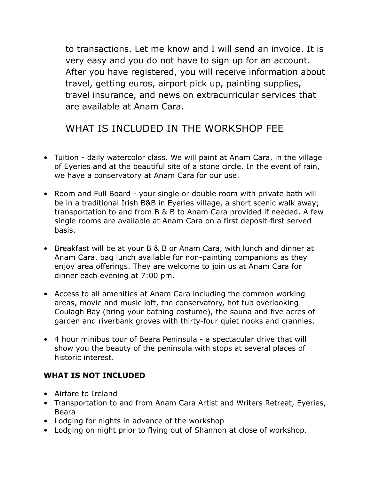to transactions. Let me know and I will send an invoice. It is very easy and you do not have to sign up for an account. After you have registered, you will receive information about travel, getting euros, airport pick up, painting supplies, travel insurance, and news on extracurricular services that are available at Anam Cara.

# WHAT IS INCLUDED IN THE WORKSHOP FEE

- Tuition daily watercolor class. We will paint at Anam Cara, in the village of Eyeries and at the beautiful site of a stone circle. In the event of rain, we have a conservatory at Anam Cara for our use.
- Room and Full Board your single or double room with private bath will be in a traditional Irish B&B in Eyeries village, a short scenic walk away; transportation to and from B & B to Anam Cara provided if needed. A few single rooms are available at Anam Cara on a first deposit-first served basis.
- Breakfast will be at your B & B or Anam Cara, with lunch and dinner at Anam Cara. bag lunch available for non-painting companions as they enjoy area offerings. They are welcome to join us at Anam Cara for dinner each evening at 7:00 pm.
- Access to all amenities at Anam Cara including the common working areas, movie and music loft, the conservatory, hot tub overlooking Coulagh Bay (bring your bathing costume), the sauna and five acres of garden and riverbank groves with thirty-four quiet nooks and crannies.
- 4 hour minibus tour of Beara Peninsula a spectacular drive that will show you the beauty of the peninsula with stops at several places of historic interest.

#### **WHAT IS NOT INCLUDED**

- Airfare to Ireland
- Transportation to and from Anam Cara Artist and Writers Retreat, Eyeries, Beara
- Lodging for nights in advance of the workshop
- Lodging on night prior to flying out of Shannon at close of workshop.